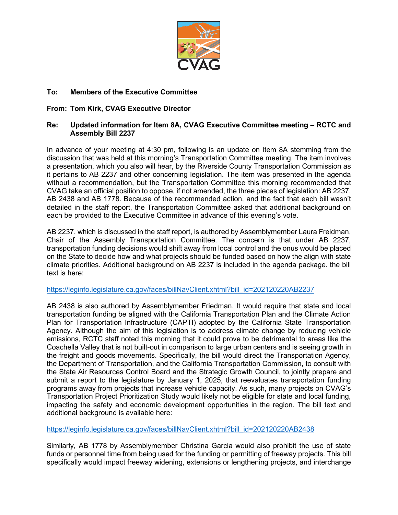

# **To: Members of the Executive Committee**

## **From: Tom Kirk, CVAG Executive Director**

### **Re: Updated information for Item 8A, CVAG Executive Committee meeting – RCTC and Assembly Bill 2237**

In advance of your meeting at 4:30 pm, following is an update on Item 8A stemming from the discussion that was held at this morning's Transportation Committee meeting. The item involves a presentation, which you also will hear, by the Riverside County Transportation Commission as it pertains to AB 2237 and other concerning legislation. The item was presented in the agenda without a recommendation, but the Transportation Committee this morning recommended that CVAG take an official position to oppose, if not amended, the three pieces of legislation: AB 2237, AB 2438 and AB 1778. Because of the recommended action, and the fact that each bill wasn't detailed in the staff report, the Transportation Committee asked that additional background on each be provided to the Executive Committee in advance of this evening's vote.

AB 2237, which is discussed in the staff report, is authored by Assemblymember Laura Freidman, Chair of the Assembly Transportation Committee. The concern is that under AB 2237, transportation funding decisions would shift away from local control and the onus would be placed on the State to decide how and what projects should be funded based on how the align with state climate priorities. Additional background on AB 2237 is included in the agenda package. the bill text is here:

### [https://leginfo.legislature.ca.gov/faces/billNavClient.xhtml?bill\\_id=202120220AB2237](https://leginfo.legislature.ca.gov/faces/billNavClient.xhtml?bill_id=202120220AB2237)

AB 2438 is also authored by Assemblymember Friedman. It would require that state and local transportation funding be aligned with the California Transportation Plan and the Climate Action Plan for Transportation Infrastructure (CAPTI) adopted by the California State Transportation Agency. Although the aim of this legislation is to address climate change by reducing vehicle emissions, RCTC staff noted this morning that it could prove to be detrimental to areas like the Coachella Valley that is not built-out in comparison to large urban centers and is seeing growth in the freight and goods movements. Specifically, the bill would direct the Transportation Agency, the Department of Transportation, and the California Transportation Commission, to consult with the State Air Resources Control Board and the Strategic Growth Council, to jointly prepare and submit a report to the legislature by January 1, 2025, that reevaluates transportation funding programs away from projects that increase vehicle capacity. As such, many projects on CVAG's Transportation Project Prioritization Study would likely not be eligible for state and local funding, impacting the safety and economic development opportunities in the region. The bill text and additional background is available here:

### [https://leginfo.legislature.ca.gov/faces/billNavClient.xhtml?bill\\_id=202120220AB2438](https://leginfo.legislature.ca.gov/faces/billNavClient.xhtml?bill_id=202120220AB2438)

Similarly, AB 1778 by Assemblymember Christina Garcia would also prohibit the use of state funds or personnel time from being used for the funding or permitting of freeway projects. This bill specifically would impact freeway widening, extensions or lengthening projects, and interchange